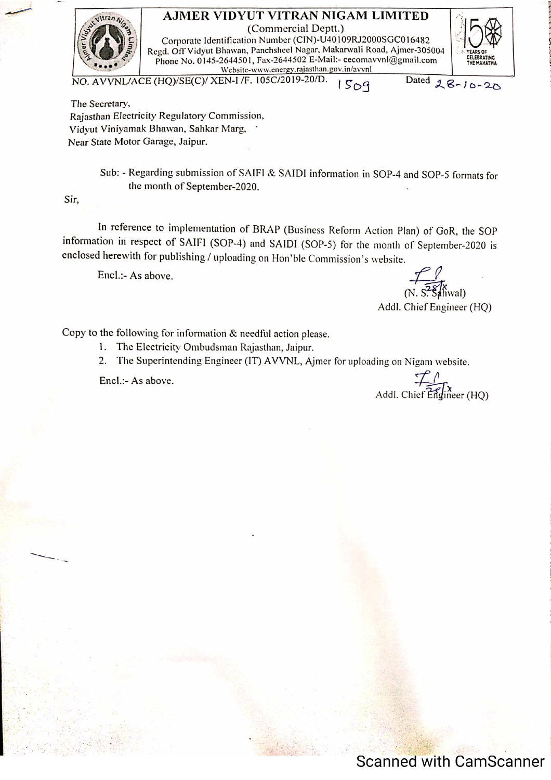

AJMER VIDYUT VITRAN NIGAM LIMITED (Commercial Deptt.)

Corporate Identification Number (CIN)-U40109RJ2000SGC016482 Regd. Off Vidyut Bhawan, Panchsheel Nagar, Makarwali Road, Ajmer-305004 Phone No. 0145-2644501, Fax-2644502 E-Mail:- cecomavvnl@gmail.com Website-www.energy.rajasthan.gov.in/avvnl



Dated 28-10-20

The Secretary, Rajasthan Electricity Regulatory Commission, Vidvut Viniyamak Bhawan, Sahkar Marg, Near State Motor Garage, Jaipur.

> Sub: - Regarding submission of SAIFI & SAIDI information in SOP-4 and SOP-5 formats for the month of September-2020.

Sir.

In reference to implementation of BRAP (Business Reform Action Plan) of GoR, the SOP information in respect of SAIFI (SOP-4) and SAIDI (SOP-5) for the month of September-2020 is enclosed herewith for publishing / uploading on Hon'ble Commission's website.

Encl.:- As above.

 $(N. S<sup>2</sup> S<sub>an</sub> (N. S<sub>an</sub>)$ 

Addl. Chief Engineer (HQ)

Copy to the following for information & needful action please.

- 1. The Electricity Ombudsman Rajasthan, Jaipur.
- 2. The Superintending Engineer (IT) AVVNL, Ajmer for uploading on Nigam website.

Encl.:- As above.

Addl. Chief  $\widehat{E_0^{\dagger}}$  (HQ)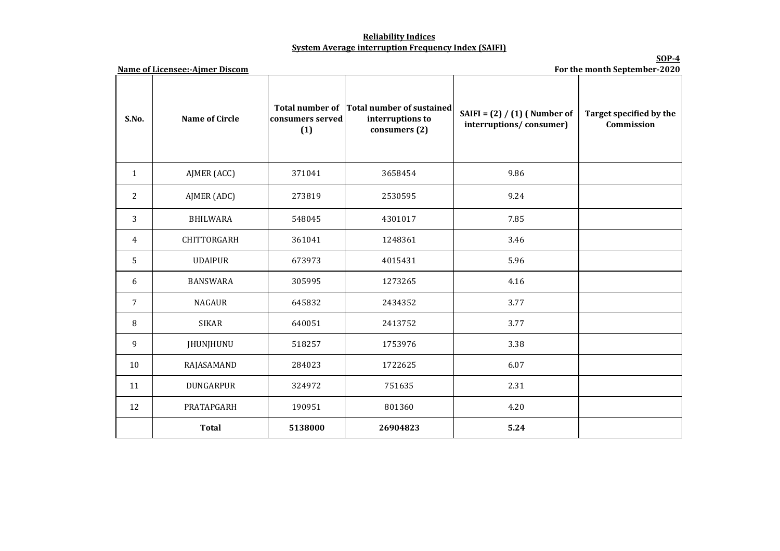## **Reliability Indices System Average interruption Frequency Index (SAIFI)**

**SOP-4**

| <b>Name of Licensee:-Ajmer Discom</b><br>For the month September-2020 |                       |                         |                                                                                |                                                           |                                       |  |  |  |
|-----------------------------------------------------------------------|-----------------------|-------------------------|--------------------------------------------------------------------------------|-----------------------------------------------------------|---------------------------------------|--|--|--|
| S.No.                                                                 | <b>Name of Circle</b> | consumers served<br>(1) | Total number of Total number of sustained<br>interruptions to<br>consumers (2) | SAIFI = $(2) / (1)$ (Number of<br>interruptions/consumer) | Target specified by the<br>Commission |  |  |  |
| $\mathbf{1}$                                                          | AJMER (ACC)           | 371041                  | 3658454                                                                        | 9.86                                                      |                                       |  |  |  |
| 2                                                                     | AJMER (ADC)           | 273819                  | 2530595                                                                        | 9.24                                                      |                                       |  |  |  |
| 3                                                                     | <b>BHILWARA</b>       | 548045                  | 4301017                                                                        | 7.85                                                      |                                       |  |  |  |
| $\overline{4}$                                                        | CHITTORGARH           | 361041                  | 1248361                                                                        | 3.46                                                      |                                       |  |  |  |
| 5                                                                     | <b>UDAIPUR</b>        | 673973                  | 4015431                                                                        | 5.96                                                      |                                       |  |  |  |
| 6                                                                     | <b>BANSWARA</b>       | 305995                  | 1273265                                                                        | 4.16                                                      |                                       |  |  |  |
| $\overline{7}$                                                        | <b>NAGAUR</b>         | 645832                  | 2434352                                                                        | 3.77                                                      |                                       |  |  |  |
| 8                                                                     | <b>SIKAR</b>          | 640051                  | 2413752                                                                        | 3.77                                                      |                                       |  |  |  |
| 9                                                                     | <b>JHUNJHUNU</b>      | 518257                  | 1753976                                                                        | 3.38                                                      |                                       |  |  |  |
| 10                                                                    | RAJASAMAND            | 284023                  | 1722625                                                                        | 6.07                                                      |                                       |  |  |  |
| 11                                                                    | <b>DUNGARPUR</b>      | 324972                  | 751635                                                                         | 2.31                                                      |                                       |  |  |  |
| 12                                                                    | PRATAPGARH            | 190951                  | 801360                                                                         | 4.20                                                      |                                       |  |  |  |
|                                                                       | <b>Total</b>          | 5138000                 | 26904823                                                                       | 5.24                                                      |                                       |  |  |  |

**Name of Licensee:-Ajmer Discom**